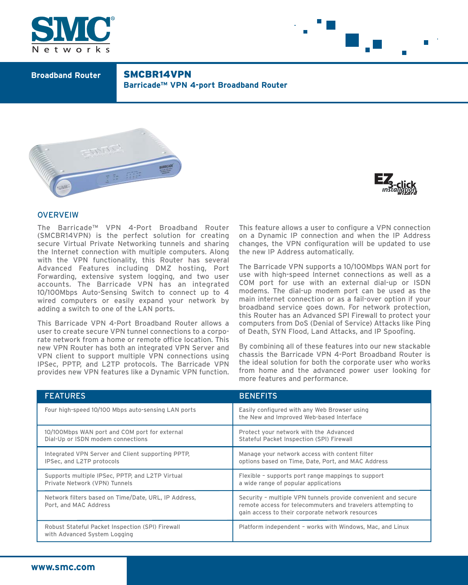



**Broadband Router** SMCBR14VPN **Barricade™ VPN 4-port Broadband Router** 





# **OVERVEIW**

The Barricade™ VPN 4-Port Broadband Router (SMCBR14VPN) is the perfect solution for creating secure Virtual Private Networking tunnels and sharing the Internet connection with multiple computers. Along with the VPN functionality, this Router has several Advanced Features including DMZ hosting, Port Forwarding, extensive system logging, and two user accounts. The Barricade VPN has an integrated 10/100Mbps Auto-Sensing Switch to connect up to 4 wired computers or easily expand your network by adding a switch to one of the LAN ports.

This Barricade VPN 4-Port Broadband Router allows a user to create secure VPN tunnel connections to a corporate network from a home or remote office location. This new VPN Router has both an integrated VPN Server and VPN client to support multiple VPN connections using IPSec, PPTP, and L2TP protocols. The Barricade VPN provides new VPN features like a Dynamic VPN function.

This feature allows a user to configure a VPN connection on a Dynamic IP connection and when the IP Address changes, the VPN configuration will be updated to use the new IP Address automatically.

The Barricade VPN supports a 10/100Mbps WAN port for use with high-speed Internet connections as well as a COM port for use with an external dial-up or ISDN modems. The dial-up modem port can be used as the main internet connection or as a fail-over option if your broadband service goes down. For network protection, this Router has an Advanced SPI Firewall to protect your computers from DoS (Denial of Service) Attacks like Ping of Death, SYN Flood, Land Attacks, and IP Spoofing.

By combining all of these features into our new stackable chassis the Barricade VPN 4-Port Broadband Router is the ideal solution for both the corporate user who works from home and the advanced power user looking for more features and performance.

| <b>FEATURES</b>                                                                    | <b>BENEFITS</b>                                                                                                                                                                  |
|------------------------------------------------------------------------------------|----------------------------------------------------------------------------------------------------------------------------------------------------------------------------------|
| Four high-speed 10/100 Mbps auto-sensing LAN ports                                 | Easily configured with any Web Browser using<br>the New and Improved Web-based Interface                                                                                         |
| 10/100Mbps WAN port and COM port for external<br>Dial-Up or ISDN modem connections | Protect your network with the Advanced<br>Stateful Packet Inspection (SPI) Firewall                                                                                              |
| Integrated VPN Server and Client supporting PPTP,<br>IPSec, and L2TP protocols     | Manage your network access with content filter<br>options based on Time, Date, Port, and MAC Address                                                                             |
| Supports multiple IPSec, PPTP, and L2TP Virtual<br>Private Network (VPN) Tunnels   | Flexible - supports port range mappings to support<br>a wide range of popular applications                                                                                       |
| Network filters based on Time/Date, URL, IP Address,<br>Port, and MAC Address      | Security - multiple VPN tunnels provide convenient and secure<br>remote access for telecommuters and travelers attempting to<br>gain access to their corporate network resources |
| Robust Stateful Packet Inspection (SPI) Firewall<br>with Advanced System Logging   | Platform independent - works with Windows, Mac, and Linux                                                                                                                        |